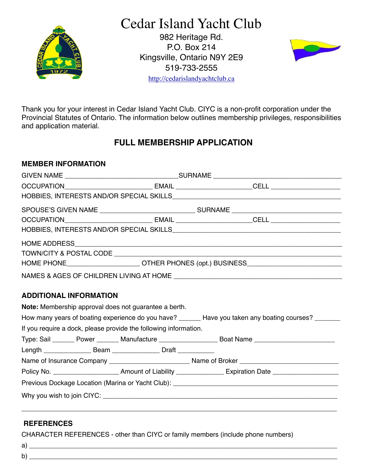

# Cedar Island Yacht Club

982 Heritage Rd. P.O. Box 214 Kingsville, Ontario N9Y 2E9 519-733-2555



<http://cedarislandyachtclub.ca>

Thank you for your interest in Cedar Island Yacht Club. CIYC is a non-profit corporation under the Provincial Statutes of Ontario. The information below outlines membership privileges, responsibilities and application material.

## **FULL MEMBERSHIP APPLICATION**

### **MEMBER INFORMATION**

|  | HOME PHONE________________________OTHER PHONES (opt.) BUSINESS___________________ |                                                                                  |                                                                                                     |  |  |  |  |
|--|-----------------------------------------------------------------------------------|----------------------------------------------------------------------------------|-----------------------------------------------------------------------------------------------------|--|--|--|--|
|  |                                                                                   |                                                                                  |                                                                                                     |  |  |  |  |
|  | <b>ADDITIONAL INFORMATION</b>                                                     | Note: Membership approval does not guarantee a berth.                            | How many years of boating experience do you have? ______ Have you taken any boating courses? ______ |  |  |  |  |
|  |                                                                                   | If you require a dock, please provide the following information.                 |                                                                                                     |  |  |  |  |
|  |                                                                                   |                                                                                  | Type: Sail ______ Power _______ Manufacture _________________ Boat Name ___________________________ |  |  |  |  |
|  |                                                                                   | Length _______________________Beam ________________________Draft _______________ |                                                                                                     |  |  |  |  |
|  |                                                                                   |                                                                                  |                                                                                                     |  |  |  |  |
|  |                                                                                   |                                                                                  |                                                                                                     |  |  |  |  |
|  |                                                                                   |                                                                                  |                                                                                                     |  |  |  |  |
|  |                                                                                   |                                                                                  |                                                                                                     |  |  |  |  |
|  |                                                                                   |                                                                                  |                                                                                                     |  |  |  |  |

## **REFERENCES**

CHARACTER REFERENCES - other than CIYC or family members (include phone numbers)

| a |  |
|---|--|
| b |  |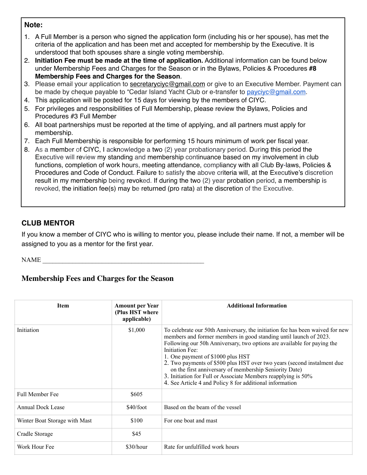#### **Note:**

- 1. A Full Member is a person who signed the application form (including his or her spouse), has met the criteria of the application and has been met and accepted for membership by the Executive. It is understood that both spouses share a single voting membership.
- 2. **Initiation Fee must be made at the time of application.** Additional information can be found below under Membership Fees and Charges for the Season or in the Bylaws, Policies & Procedures **#8 Membership Fees and Charges for the Season**.
- 3. Please email your application to [secretaryciyc@gmail.com](mailto:secretaryciyc@gmail.com) or give to an Executive Member. Payment can be made by cheque payable to "Cedar Island Yacht Club or e-transfer to [payciyc@gmail.com](mailto:payciyc@gmail.com).
- 4. This application will be posted for 15 days for viewing by the members of CIYC.
- 5. For privileges and responsibilities of Full Membership, please review the Bylaws, Policies and Procedures #3 Full Member
- 6. All boat partnerships must be reported at the time of applying, and all partners must apply for membership.
- 7. Each Full Membership is responsible for performing 15 hours minimum of work per fiscal year.
- 8. As a member of CIYC, I acknowledge a two (2) year probationary period. During this period the Executive will review my standing and membership continuance based on my involvement in club functions, completion of work hours, meeting attendance, compliancy with all Club By-laws, Policies & Procedures and Code of Conduct. Failure to satisfy the above criteria will, at the Executive's discretion result in my membership being revoked. If during the two (2) year probation period, a membership is revoked, the initiation fee(s) may be returned (pro rata) at the discretion of the Executive.

## **CLUB MENTOR**

If you know a member of CIYC who is willing to mentor you, please include their name. If not, a member will be assigned to you as a mentor for the first year.

NAME

## **Membership Fees and Charges for the Season**

| <b>Item</b>                   | <b>Amount per Year</b><br>(Plus HST where<br>applicable) | <b>Additional Information</b>                                                                                                                                                                                                                                                                                                                                                                                                                                                                                                                            |
|-------------------------------|----------------------------------------------------------|----------------------------------------------------------------------------------------------------------------------------------------------------------------------------------------------------------------------------------------------------------------------------------------------------------------------------------------------------------------------------------------------------------------------------------------------------------------------------------------------------------------------------------------------------------|
| Initiation                    | \$1,000                                                  | To celebrate our 50th Anniversary, the initiation fee has been waived for new<br>members and former members in good standing until launch of 2023.<br>Following our 50h Anniversary, two options are available for paying the<br>Initiation Fee:<br>1. One payment of \$1000 plus HST<br>2. Two payments of \$500 plus HST over two years (second instalment due)<br>on the first anniversary of membership Seniority Date)<br>3. Initiation for Full or Associate Members reapplying is 50%<br>4. See Article 4 and Policy 8 for additional information |
| <b>Full Member Fee</b>        | \$605                                                    |                                                                                                                                                                                                                                                                                                                                                                                                                                                                                                                                                          |
| Annual Dock Lease             | \$40/foot                                                | Based on the beam of the vessel                                                                                                                                                                                                                                                                                                                                                                                                                                                                                                                          |
| Winter Boat Storage with Mast | \$100                                                    | For one boat and mast                                                                                                                                                                                                                                                                                                                                                                                                                                                                                                                                    |
| Cradle Storage                | \$45                                                     |                                                                                                                                                                                                                                                                                                                                                                                                                                                                                                                                                          |
| Work Hour Fee                 | \$30/hour                                                | Rate for unfulfilled work hours                                                                                                                                                                                                                                                                                                                                                                                                                                                                                                                          |